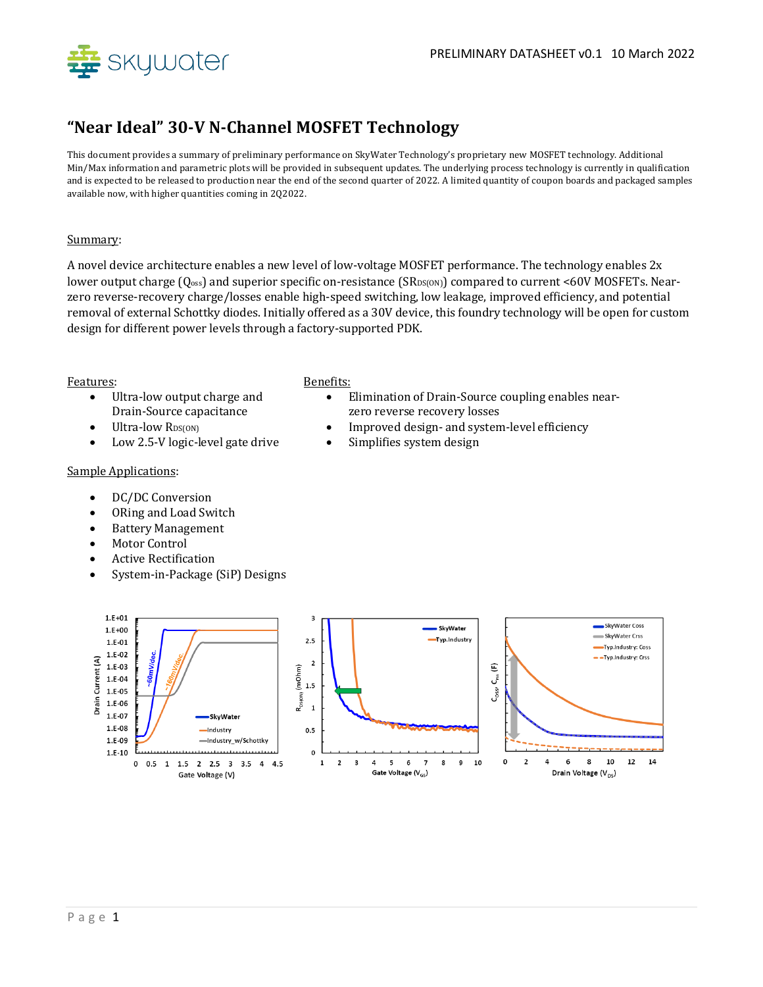

## **"Near Ideal" 30-V N-Channel MOSFET Technology**

This document provides a summary of preliminary performance on SkyWater Technology's proprietary new MOSFET technology. Additional Min/Max information and parametric plots will be provided in subsequent updates. The underlying process technology is currently in qualification and is expected to be released to production near the end of the second quarter of 2022. A limited quantity of coupon boards and packaged samples available now, with higher quantities coming in 2Q2022.

## Summary:

A novel device architecture enables a new level of low-voltage MOSFET performance. The technology enables 2x lower output charge (Q<sub>oss</sub>) and superior specific on-resistance (SR<sub>DS(ON)</sub>) compared to current <60V MOSFETs. Nearzero reverse-recovery charge/losses enable high-speed switching, low leakage, improved efficiency, and potential removal of external Schottky diodes. Initially offered as a 30V device, this foundry technology will be open for custom design for different power levels through a factory-supported PDK.

### Features: Benefits:

- Ultra-low output charge and Drain-Source capacitance
- 
- Low 2.5-V logic-level gate drive Simplifies system design

- Elimination of Drain-Source coupling enables nearzero reverse recovery losses
- Ultra-low  $R_{DS(ON)}$  **exception of the improved design- and system-level efficiency** 
	-

## Sample Applications:

- DC/DC Conversion
- ORing and Load Switch
- Battery Management
- Motor Control
- Active Rectification
- System-in-Package (SiP) Designs

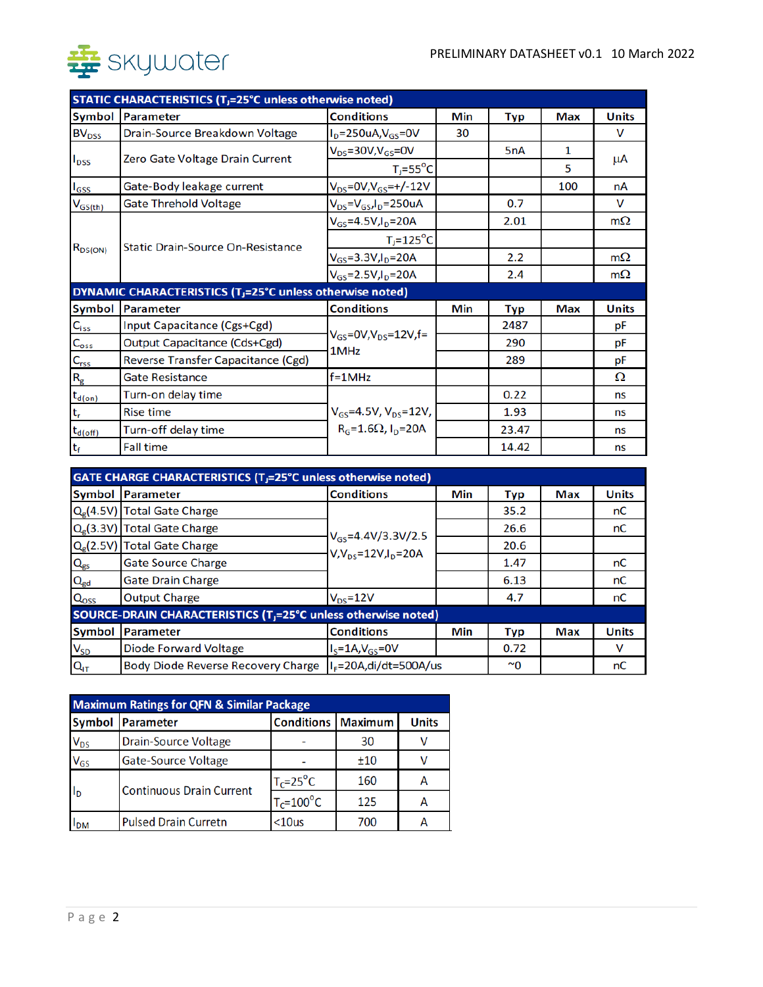

| STATIC CHARACTERISTICS (T <sub>J</sub> =25°C unless otherwise noted) |                                                                       |                                              |     |                  |     |              |  |  |
|----------------------------------------------------------------------|-----------------------------------------------------------------------|----------------------------------------------|-----|------------------|-----|--------------|--|--|
| Symbol                                                               | <b>Parameter</b>                                                      | <b>Conditions</b>                            | Min | <b>Typ</b>       | Max | <b>Units</b> |  |  |
| <b>BV<sub>DSS</sub></b>                                              | Drain-Source Breakdown Voltage                                        | $I_D = 250uA, V_{GS} = 0V$                   | 30  |                  |     | v            |  |  |
| $I_{DSS}$                                                            | Zero Gate Voltage Drain Current                                       | $V_{DS} = 30V$ , $V_{GS} = 0V$               |     | 5 <sub>n</sub> A | 1   |              |  |  |
|                                                                      |                                                                       | $T_i = 55^{\circ}C$                          |     |                  | 5   | μA           |  |  |
| $I_{GSS}$                                                            | Gate-Body leakage current                                             | $V_{DS} = 0V, V_{GS} = +/-12V$               |     |                  | 100 | nA           |  |  |
| $V_{GS(th)}$                                                         | <b>Gate Threhold Voltage</b>                                          | $V_{DS} = V_{GS}I_D = 250uA$                 |     | 0.7              |     | V            |  |  |
| $R_{DS(ON)}$                                                         | <b>Static Drain-Source On-Resistance</b>                              | $V_{GS} = 4.5V, I_D = 20A$                   |     | 2.01             |     | $m\Omega$    |  |  |
|                                                                      |                                                                       | $T_i = 125$ °C                               |     |                  |     |              |  |  |
|                                                                      |                                                                       | $V_{GS} = 3.3 V, I_D = 20 A$                 |     | 2.2              |     | $m\Omega$    |  |  |
|                                                                      |                                                                       | $V_{GS}$ =2.5V, $I_D$ =20A                   |     | 2.4              |     | $m\Omega$    |  |  |
|                                                                      | DYNAMIC CHARACTERISTICS (T <sub>J</sub> =25°C unless otherwise noted) |                                              |     |                  |     |              |  |  |
| Symbol                                                               | <b>Parameter</b>                                                      | <b>Conditions</b>                            | Min | Typ              | Max | <b>Units</b> |  |  |
| $C_{iss}$                                                            | Input Capacitance (Cgs+Cgd)                                           | $V_{GS}$ =0V,V <sub>DS</sub> =12V,f=<br>1MHz |     | 2487             |     | рF           |  |  |
| $C_{\text{oss}}$                                                     | <b>Output Capacitance (Cds+Cgd)</b>                                   |                                              |     | 290              |     | рF           |  |  |
| $C_{rss}$                                                            | Reverse Transfer Capacitance (Cgd)                                    |                                              |     | 289              |     | рF           |  |  |
| $R_{\rm g}$                                                          | <b>Gate Resistance</b>                                                | $f = 1$ MHz                                  |     |                  |     | Ω            |  |  |
| $t_{d(on)}$                                                          | Turn-on delay time                                                    |                                              |     | 0.22             |     | ns           |  |  |
| $\mathsf{t}_{\mathsf{r}}$                                            | <b>Rise time</b>                                                      | $V_{GS} = 4.5V, V_{DS} = 12V,$               |     | 1.93             |     | ns           |  |  |
| $t_{d(off)}$                                                         | Turn-off delay time                                                   | $R_G = 1.6 \Omega$ , $I_D = 20 A$            |     | 23.47            |     | ns           |  |  |
| $t_f$                                                                | <b>Fall time</b>                                                      |                                              |     | 14.42            |     | ns           |  |  |

| <b>GATE CHARGE CHARACTERISTICS (T<sub>J</sub>=25°C unless otherwise noted)</b> |                                    |                                                            |     |           |     |              |
|--------------------------------------------------------------------------------|------------------------------------|------------------------------------------------------------|-----|-----------|-----|--------------|
| Symbol                                                                         | Parameter                          | <b>Conditions</b>                                          | Min | Typ       | Max | <b>Units</b> |
| Q <sub>g</sub> (4.5V)                                                          | <b>Total Gate Charge</b>           | $V_{GS} = 4.4 V/3.3 V/2.5$<br>$V, V_{ps} = 12V, I_p = 20A$ |     | 35.2      |     | nC           |
| Q <sub>e</sub> (3.3V)                                                          | <b>Total Gate Charge</b>           |                                                            |     | 26.6      |     | nC           |
| Q <sub>g</sub> (2.5V)                                                          | <b>Total Gate Charge</b>           |                                                            |     | 20.6      |     |              |
| $Q_{gs}$                                                                       | <b>Gate Source Charge</b>          |                                                            |     | 1.47      |     | пC           |
| $Q_{gd}$                                                                       | <b>Gate Drain Charge</b>           |                                                            |     | 6.13      |     | пC           |
| Q <sub>oss</sub>                                                               | <b>Output Charge</b>               | $V_{DS} = 12V$                                             |     | 4.7       |     | пC           |
| SOURCE-DRAIN CHARACTERISTICS (T <sub>J</sub> =25°C unless otherwise noted)     |                                    |                                                            |     |           |     |              |
| Symbol                                                                         | <b>Parameter</b>                   | <b>Conditions</b>                                          | Min | Typ       | Max | <b>Units</b> |
| $V_{SD}$                                                                       | <b>Diode Forward Voltage</b>       | $I_S = 1A$ , $V_{GS} = 0V$                                 |     | 0.72      |     | v            |
| $Q_{IT}$                                                                       | Body Diode Reverse Recovery Charge | $IF=20A$ ,di/dt=500A/us                                    |     | $~\sim$ 0 |     | nC           |

| <b>Maximum Ratings for QFN &amp; Similar Package</b> |                                 |                             |     |              |  |  |  |
|------------------------------------------------------|---------------------------------|-----------------------------|-----|--------------|--|--|--|
| <b>Symbol</b>                                        | Parameter                       | <b>Conditions   Maximum</b> |     | <b>Units</b> |  |  |  |
| <b>V<sub>DS</sub></b>                                | <b>Drain-Source Voltage</b>     |                             | 30  |              |  |  |  |
| $V_{GS}$                                             | Gate-Source Voltage             |                             | ±10 |              |  |  |  |
| I <sub>D</sub>                                       | <b>Continuous Drain Current</b> | $T_c = 25$ °C               | 160 |              |  |  |  |
|                                                      |                                 | $T_c = 100^\circ C$         | 125 |              |  |  |  |
| <b>IDM</b>                                           | <b>Pulsed Drain Curretn</b>     | $<$ 10 $us$                 | 700 |              |  |  |  |